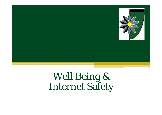

Well Being & Internet Safety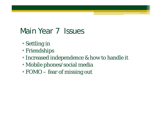## Main Year 7 Issues

- Settling in
- Friendships
- Increased independence & how to handle it
- Mobile phones/social media
- FOMO fear of missing out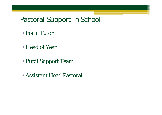### Pastoral Support in School

- Form Tutor
- Head of Year
- Pupil Support Team
- Assistant Head Pastoral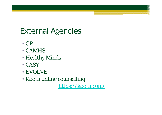# External Agencies

- GP
- CAMHS
- Healthy Minds
- CASY
- EVOLVE
- Kooth online counselling

https://kooth.com/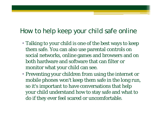### How to help keep your child safe online

- Talking to your child is one of the best ways to keep them safe. You can also use parental controls on social networks, online games and browsers and on both hardware and software that can filter or monitor what your child can see.
- Preventing your children from using the internet or mobile phones won't keep them safe in the long run, so it's important to have conversations that help your child understand how to stay safe and what to do if they ever feel scared or uncomfortable.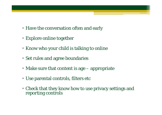- Have the conversation often and early
- Explore online together
- Know who your child is talking to online
- Set rules and agree boundaries
- Make sure that content is age appropriate
- Use parental controls, filters etc
- Check that they know how to use privacy settings and reporting controls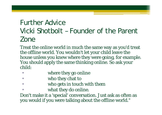### Further AdviceVicki Shotbolt – Founder of the Parent Zone

Treat the online world in much the same way as you'd treat the offline world. You wouldn't let your child leave the house unless you knew where they were going, for example. You should apply the same thinking online. So ask your child:

- •where they go online
- $\bullet$ who they chat to
- $\bullet$ who gets in touch with them
- •what they do online.

Don't make it a 'special' conversation. Just ask as often as you would if you were talking about the offline world."